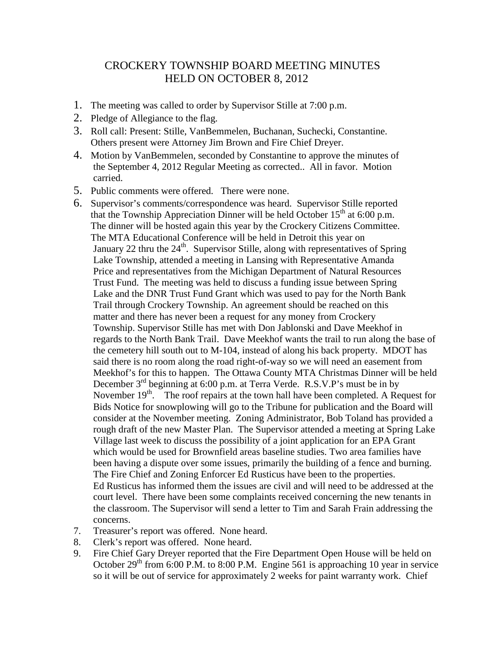## CROCKERY TOWNSHIP BOARD MEETING MINUTES HELD ON OCTOBER 8, 2012

- 1. The meeting was called to order by Supervisor Stille at 7:00 p.m.
- 2. Pledge of Allegiance to the flag.
- 3. Roll call: Present: Stille, VanBemmelen, Buchanan, Suchecki, Constantine. Others present were Attorney Jim Brown and Fire Chief Dreyer.
- 4. Motion by VanBemmelen, seconded by Constantine to approve the minutes of the September 4, 2012 Regular Meeting as corrected.. All in favor. Motion carried.
- 5. Public comments were offered. There were none.
- 6. Supervisor's comments/correspondence was heard. Supervisor Stille reported that the Township Appreciation Dinner will be held October  $15<sup>th</sup>$  at 6:00 p.m. The dinner will be hosted again this year by the Crockery Citizens Committee. The MTA Educational Conference will be held in Detroit this year on January 22 thru the  $24<sup>th</sup>$ . Supervisor Stille, along with representatives of Spring Lake Township, attended a meeting in Lansing with Representative Amanda Price and representatives from the Michigan Department of Natural Resources Trust Fund. The meeting was held to discuss a funding issue between Spring Lake and the DNR Trust Fund Grant which was used to pay for the North Bank Trail through Crockery Township. An agreement should be reached on this matter and there has never been a request for any money from Crockery Township. Supervisor Stille has met with Don Jablonski and Dave Meekhof in regards to the North Bank Trail. Dave Meekhof wants the trail to run along the base of the cemetery hill south out to M-104, instead of along his back property. MDOT has said there is no room along the road right-of-way so we will need an easement from Meekhof's for this to happen. The Ottawa County MTA Christmas Dinner will be held December 3rd beginning at 6:00 p.m. at Terra Verde. R.S.V.P's must be in by November  $19<sup>th</sup>$ . The roof repairs at the town hall have been completed. A Request for Bids Notice for snowplowing will go to the Tribune for publication and the Board will consider at the November meeting. Zoning Administrator, Bob Toland has provided a rough draft of the new Master Plan. The Supervisor attended a meeting at Spring Lake Village last week to discuss the possibility of a joint application for an EPA Grant which would be used for Brownfield areas baseline studies. Two area families have been having a dispute over some issues, primarily the building of a fence and burning. The Fire Chief and Zoning Enforcer Ed Rusticus have been to the properties. Ed Rusticus has informed them the issues are civil and will need to be addressed at the court level. There have been some complaints received concerning the new tenants in the classroom. The Supervisor will send a letter to Tim and Sarah Frain addressing the concerns.
- 7. Treasurer's report was offered. None heard.
- 8. Clerk's report was offered. None heard.
- 9. Fire Chief Gary Dreyer reported that the Fire Department Open House will be held on October  $29<sup>th</sup>$  from 6:00 P.M. to 8:00 P.M. Engine 561 is approaching 10 year in service so it will be out of service for approximately 2 weeks for paint warranty work. Chief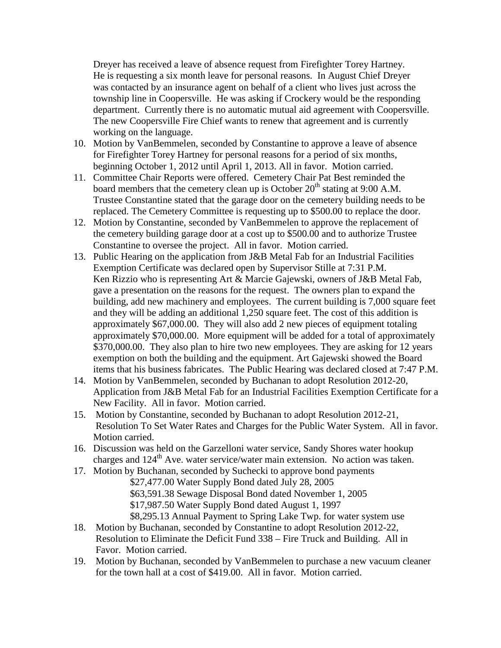Dreyer has received a leave of absence request from Firefighter Torey Hartney. He is requesting a six month leave for personal reasons. In August Chief Dreyer was contacted by an insurance agent on behalf of a client who lives just across the township line in Coopersville. He was asking if Crockery would be the responding department. Currently there is no automatic mutual aid agreement with Coopersville. The new Coopersville Fire Chief wants to renew that agreement and is currently working on the language.

- 10. Motion by VanBemmelen, seconded by Constantine to approve a leave of absence for Firefighter Torey Hartney for personal reasons for a period of six months, beginning October 1, 2012 until April 1, 2013. All in favor. Motion carried.
- 11. Committee Chair Reports were offered. Cemetery Chair Pat Best reminded the board members that the cemetery clean up is October 20<sup>th</sup> stating at 9:00 A.M. Trustee Constantine stated that the garage door on the cemetery building needs to be replaced. The Cemetery Committee is requesting up to \$500.00 to replace the door.
- 12. Motion by Constantine, seconded by VanBemmelen to approve the replacement of the cemetery building garage door at a cost up to \$500.00 and to authorize Trustee Constantine to oversee the project. All in favor. Motion carried.
- 13. Public Hearing on the application from J&B Metal Fab for an Industrial Facilities Exemption Certificate was declared open by Supervisor Stille at 7:31 P.M. Ken Rizzio who is representing Art & Marcie Gajewski, owners of J&B Metal Fab, gave a presentation on the reasons for the request. The owners plan to expand the building, add new machinery and employees. The current building is 7,000 square feet and they will be adding an additional 1,250 square feet. The cost of this addition is approximately \$67,000.00. They will also add 2 new pieces of equipment totaling approximately \$70,000.00. More equipment will be added for a total of approximately \$370,000.00. They also plan to hire two new employees. They are asking for 12 years exemption on both the building and the equipment. Art Gajewski showed the Board items that his business fabricates. The Public Hearing was declared closed at 7:47 P.M.
- 14. Motion by VanBemmelen, seconded by Buchanan to adopt Resolution 2012-20, Application from J&B Metal Fab for an Industrial Facilities Exemption Certificate for a New Facility. All in favor. Motion carried.
- 15. Motion by Constantine, seconded by Buchanan to adopt Resolution 2012-21, Resolution To Set Water Rates and Charges for the Public Water System. All in favor. Motion carried.
- 16. Discussion was held on the Garzelloni water service, Sandy Shores water hookup charges and  $124<sup>th</sup>$  Ave. water service/water main extension. No action was taken.
- 17. Motion by Buchanan, seconded by Suchecki to approve bond payments
	- \$27,477.00 Water Supply Bond dated July 28, 2005
	- \$63,591.38 Sewage Disposal Bond dated November 1, 2005
	- \$17,987.50 Water Supply Bond dated August 1, 1997
	- \$8,295.13 Annual Payment to Spring Lake Twp. for water system use
- 18. Motion by Buchanan, seconded by Constantine to adopt Resolution 2012-22, Resolution to Eliminate the Deficit Fund 338 – Fire Truck and Building. All in Favor. Motion carried.
- 19. Motion by Buchanan, seconded by VanBemmelen to purchase a new vacuum cleaner for the town hall at a cost of \$419.00. All in favor. Motion carried.